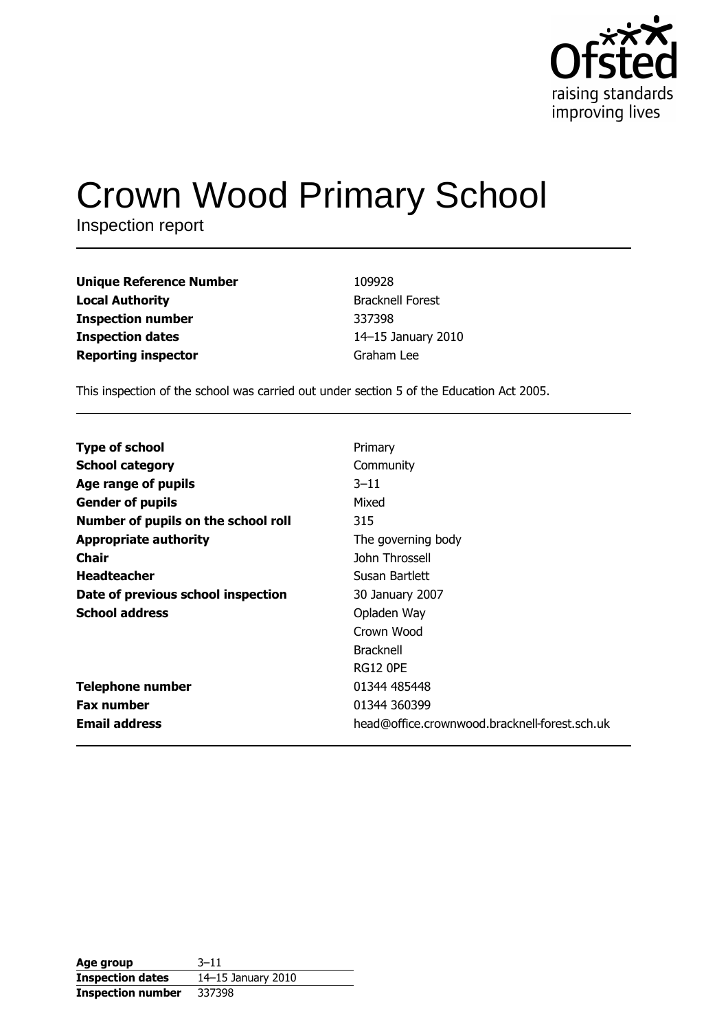

# **Crown Wood Primary School**

Inspection report

| <b>Unique Reference Number</b> | 109928                  |
|--------------------------------|-------------------------|
| Local Authority                | <b>Bracknell Forest</b> |
| Inspection number              | 337398                  |
| <b>Inspection dates</b>        | 14-15 January 2010      |
| <b>Reporting inspector</b>     | Graham Lee              |
|                                |                         |

This inspection of the school was carried out under section 5 of the Education Act 2005.

| <b>Type of school</b>               | Primary                                       |
|-------------------------------------|-----------------------------------------------|
| <b>School category</b>              | Community                                     |
| Age range of pupils                 | $3 - 11$                                      |
| <b>Gender of pupils</b>             | Mixed                                         |
| Number of pupils on the school roll | 315                                           |
| <b>Appropriate authority</b>        | The governing body                            |
| Chair                               | John Throssell                                |
| <b>Headteacher</b>                  | Susan Bartlett                                |
| Date of previous school inspection  | 30 January 2007                               |
| <b>School address</b>               | Opladen Way                                   |
|                                     | Crown Wood                                    |
|                                     | <b>Bracknell</b>                              |
|                                     | <b>RG12 OPE</b>                               |
| <b>Telephone number</b>             | 01344 485448                                  |
| <b>Fax number</b>                   | 01344 360399                                  |
| <b>Email address</b>                | head@office.crownwood.bracknell-forest.sch.uk |

| Age group                | $3 - 11$           |
|--------------------------|--------------------|
| <b>Inspection dates</b>  | 14-15 January 2010 |
| <b>Inspection number</b> | 337398             |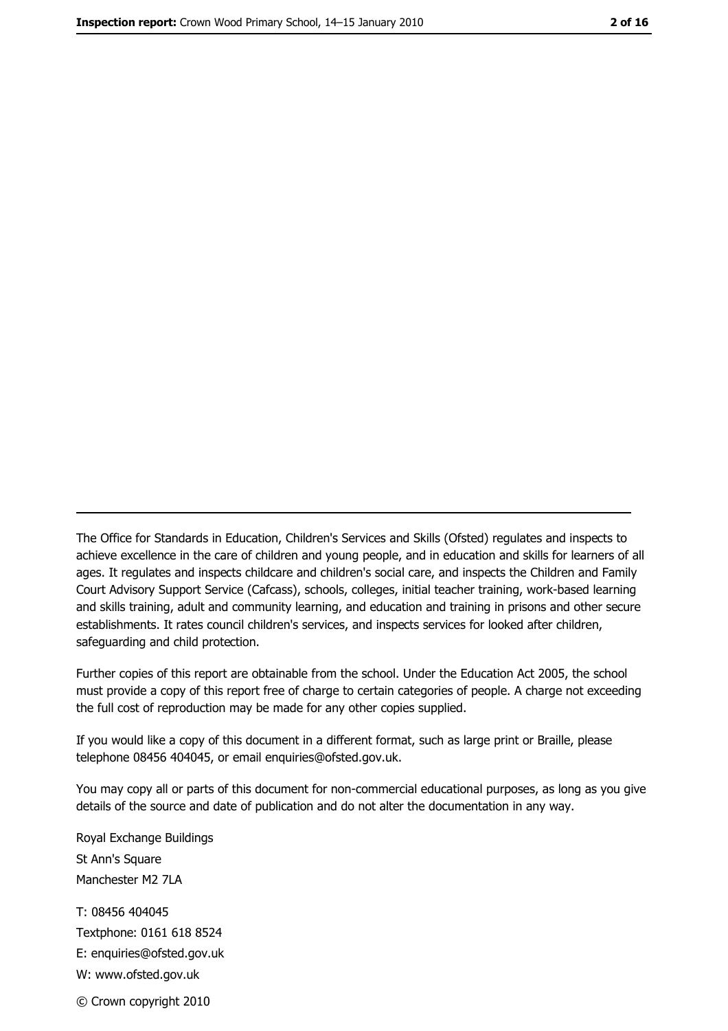The Office for Standards in Education, Children's Services and Skills (Ofsted) regulates and inspects to achieve excellence in the care of children and young people, and in education and skills for learners of all ages. It regulates and inspects childcare and children's social care, and inspects the Children and Family Court Advisory Support Service (Cafcass), schools, colleges, initial teacher training, work-based learning and skills training, adult and community learning, and education and training in prisons and other secure establishments. It rates council children's services, and inspects services for looked after children, safequarding and child protection.

Further copies of this report are obtainable from the school. Under the Education Act 2005, the school must provide a copy of this report free of charge to certain categories of people. A charge not exceeding the full cost of reproduction may be made for any other copies supplied.

If you would like a copy of this document in a different format, such as large print or Braille, please telephone 08456 404045, or email enquiries@ofsted.gov.uk.

You may copy all or parts of this document for non-commercial educational purposes, as long as you give details of the source and date of publication and do not alter the documentation in any way.

Royal Exchange Buildings St Ann's Square Manchester M2 7LA T: 08456 404045 Textphone: 0161 618 8524 E: enquiries@ofsted.gov.uk W: www.ofsted.gov.uk © Crown copyright 2010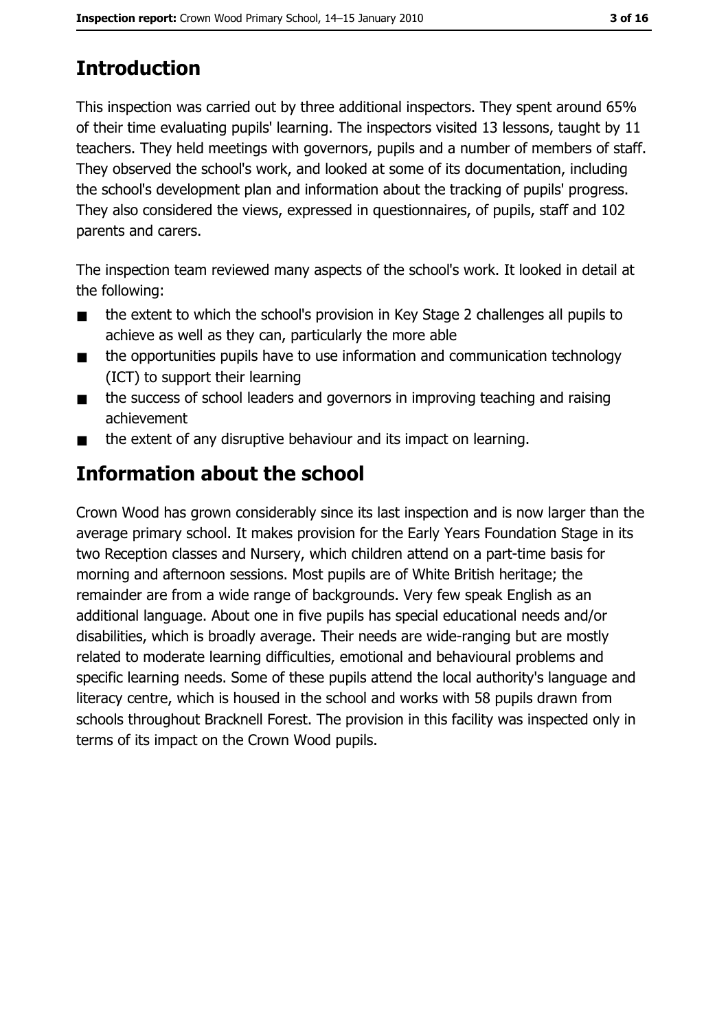# **Introduction**

This inspection was carried out by three additional inspectors. They spent around 65% of their time evaluating pupils' learning. The inspectors visited 13 lessons, taught by 11 teachers. They held meetings with governors, pupils and a number of members of staff. They observed the school's work, and looked at some of its documentation, including the school's development plan and information about the tracking of pupils' progress. They also considered the views, expressed in questionnaires, of pupils, staff and 102 parents and carers.

The inspection team reviewed many aspects of the school's work. It looked in detail at the following:

- the extent to which the school's provision in Key Stage 2 challenges all pupils to  $\blacksquare$ achieve as well as they can, particularly the more able
- the opportunities pupils have to use information and communication technology  $\blacksquare$ (ICT) to support their learning
- the success of school leaders and governors in improving teaching and raising  $\blacksquare$ achievement
- the extent of any disruptive behaviour and its impact on learning.  $\blacksquare$

# Information about the school

Crown Wood has grown considerably since its last inspection and is now larger than the average primary school. It makes provision for the Early Years Foundation Stage in its two Reception classes and Nursery, which children attend on a part-time basis for morning and afternoon sessions. Most pupils are of White British heritage; the remainder are from a wide range of backgrounds. Very few speak English as an additional language. About one in five pupils has special educational needs and/or disabilities, which is broadly average. Their needs are wide-ranging but are mostly related to moderate learning difficulties, emotional and behavioural problems and specific learning needs. Some of these pupils attend the local authority's language and literacy centre, which is housed in the school and works with 58 pupils drawn from schools throughout Bracknell Forest. The provision in this facility was inspected only in terms of its impact on the Crown Wood pupils.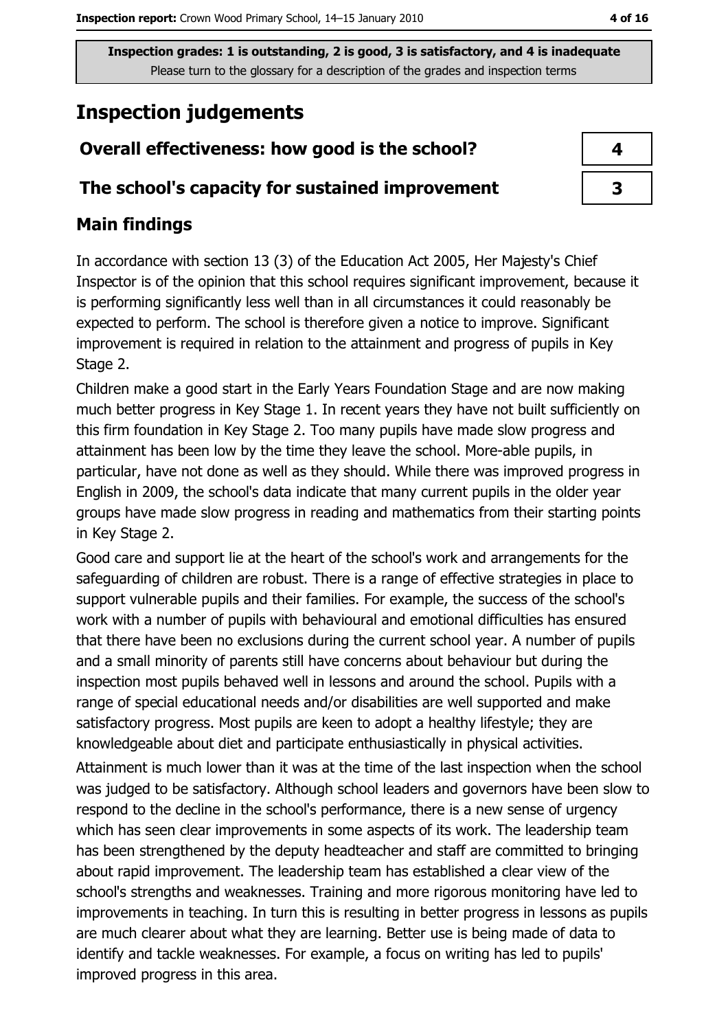# **Inspection judgements**

# Overall effectiveness: how good is the school?

## The school's capacity for sustained improvement

# **Main findings**

In accordance with section 13 (3) of the Education Act 2005, Her Majesty's Chief Inspector is of the opinion that this school requires significant improvement, because it is performing significantly less well than in all circumstances it could reasonably be expected to perform. The school is therefore given a notice to improve. Significant improvement is required in relation to the attainment and progress of pupils in Key Stage 2.

Children make a good start in the Early Years Foundation Stage and are now making much better progress in Key Stage 1. In recent years they have not built sufficiently on this firm foundation in Key Stage 2. Too many pupils have made slow progress and attainment has been low by the time they leave the school. More-able pupils, in particular, have not done as well as they should. While there was improved progress in English in 2009, the school's data indicate that many current pupils in the older year groups have made slow progress in reading and mathematics from their starting points in Key Stage 2.

Good care and support lie at the heart of the school's work and arrangements for the safeguarding of children are robust. There is a range of effective strategies in place to support vulnerable pupils and their families. For example, the success of the school's work with a number of pupils with behavioural and emotional difficulties has ensured that there have been no exclusions during the current school year. A number of pupils and a small minority of parents still have concerns about behaviour but during the inspection most pupils behaved well in lessons and around the school. Pupils with a range of special educational needs and/or disabilities are well supported and make satisfactory progress. Most pupils are keen to adopt a healthy lifestyle; they are knowledgeable about diet and participate enthusiastically in physical activities.

Attainment is much lower than it was at the time of the last inspection when the school was judged to be satisfactory. Although school leaders and governors have been slow to respond to the decline in the school's performance, there is a new sense of urgency which has seen clear improvements in some aspects of its work. The leadership team has been strengthened by the deputy headteacher and staff are committed to bringing about rapid improvement. The leadership team has established a clear view of the school's strengths and weaknesses. Training and more rigorous monitoring have led to improvements in teaching. In turn this is resulting in better progress in lessons as pupils are much clearer about what they are learning. Better use is being made of data to identify and tackle weaknesses. For example, a focus on writing has led to pupils' improved progress in this area.

| 4 |  |
|---|--|
| 3 |  |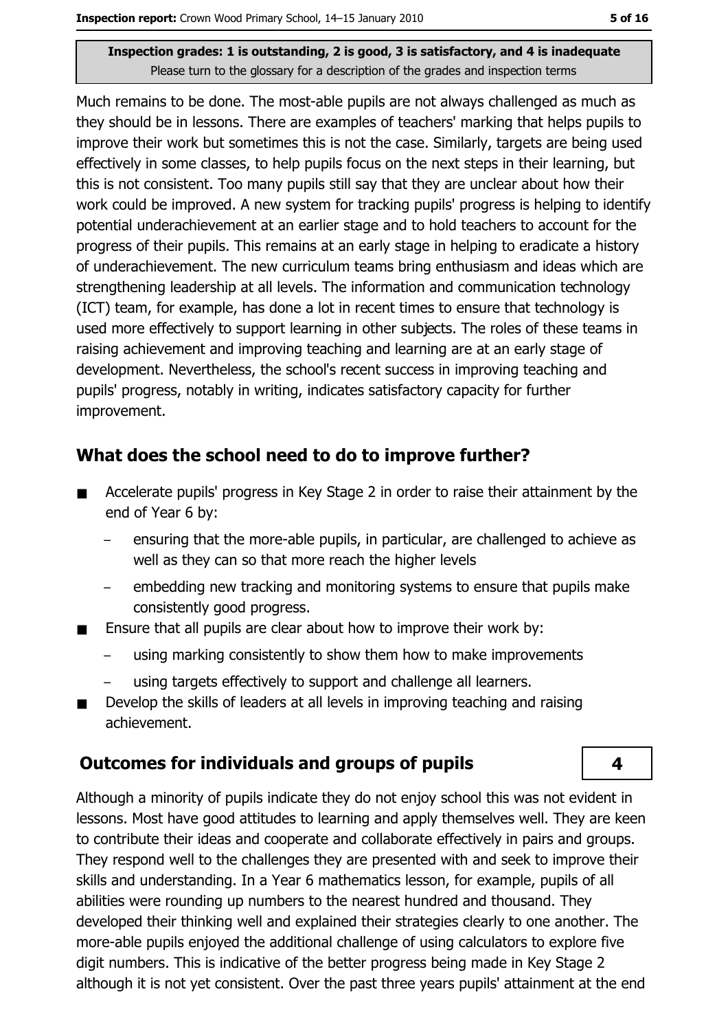Much remains to be done. The most-able pupils are not always challenged as much as they should be in lessons. There are examples of teachers' marking that helps pupils to improve their work but sometimes this is not the case. Similarly, targets are being used effectively in some classes, to help pupils focus on the next steps in their learning, but this is not consistent. Too many pupils still say that they are unclear about how their work could be improved. A new system for tracking pupils' progress is helping to identify potential underachievement at an earlier stage and to hold teachers to account for the progress of their pupils. This remains at an early stage in helping to eradicate a history of underachievement. The new curriculum teams bring enthusiasm and ideas which are strengthening leadership at all levels. The information and communication technology (ICT) team, for example, has done a lot in recent times to ensure that technology is used more effectively to support learning in other subjects. The roles of these teams in raising achievement and improving teaching and learning are at an early stage of development. Nevertheless, the school's recent success in improving teaching and pupils' progress, notably in writing, indicates satisfactory capacity for further improvement.

## What does the school need to do to improve further?

- Accelerate pupils' progress in Key Stage 2 in order to raise their attainment by the  $\blacksquare$ end of Year 6 by:
	- ensuring that the more-able pupils, in particular, are challenged to achieve as well as they can so that more reach the higher levels
	- embedding new tracking and monitoring systems to ensure that pupils make consistently good progress.
- Ensure that all pupils are clear about how to improve their work by:  $\blacksquare$ 
	- using marking consistently to show them how to make improvements
	- using targets effectively to support and challenge all learners.
- Develop the skills of leaders at all levels in improving teaching and raising achievement.

### **Outcomes for individuals and groups of pupils**

Although a minority of pupils indicate they do not enjoy school this was not evident in lessons. Most have good attitudes to learning and apply themselves well. They are keen to contribute their ideas and cooperate and collaborate effectively in pairs and groups. They respond well to the challenges they are presented with and seek to improve their skills and understanding. In a Year 6 mathematics lesson, for example, pupils of all abilities were rounding up numbers to the nearest hundred and thousand. They developed their thinking well and explained their strategies clearly to one another. The more-able pupils enjoyed the additional challenge of using calculators to explore five digit numbers. This is indicative of the better progress being made in Key Stage 2 although it is not yet consistent. Over the past three years pupils' attainment at the end

4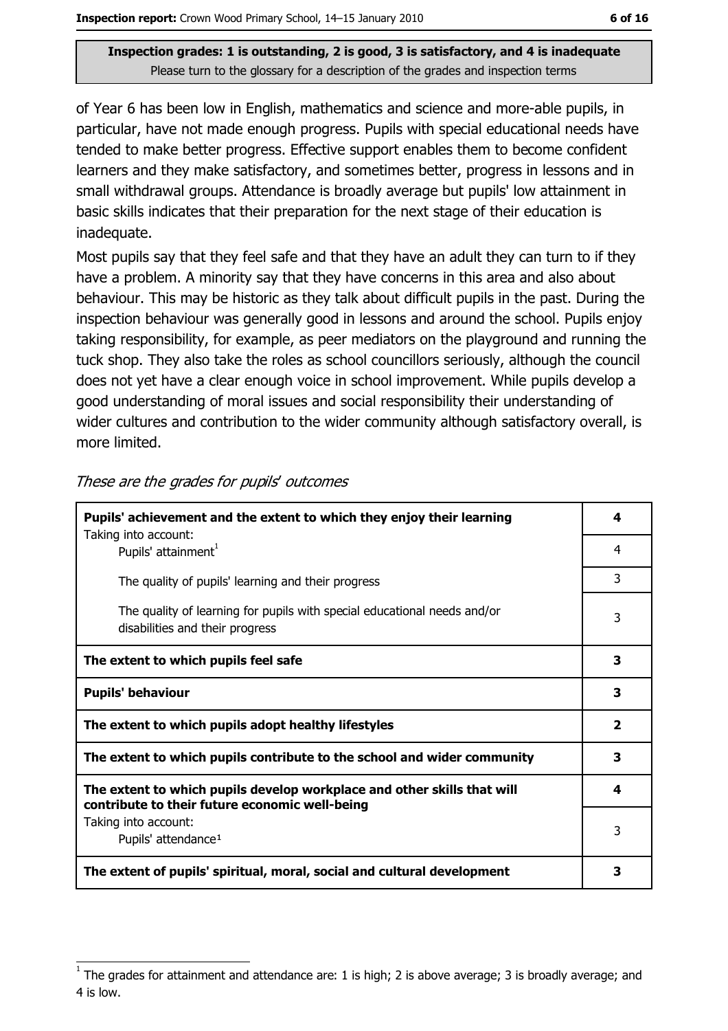of Year 6 has been low in English, mathematics and science and more-able pupils, in particular, have not made enough progress. Pupils with special educational needs have tended to make better progress. Effective support enables them to become confident learners and they make satisfactory, and sometimes better, progress in lessons and in small withdrawal groups. Attendance is broadly average but pupils' low attainment in basic skills indicates that their preparation for the next stage of their education is inadequate.

Most pupils say that they feel safe and that they have an adult they can turn to if they have a problem. A minority say that they have concerns in this area and also about behaviour. This may be historic as they talk about difficult pupils in the past. During the inspection behaviour was generally good in lessons and around the school. Pupils enjoy taking responsibility, for example, as peer mediators on the playground and running the tuck shop. They also take the roles as school councillors seriously, although the council does not yet have a clear enough voice in school improvement. While pupils develop a good understanding of moral issues and social responsibility their understanding of wider cultures and contribution to the wider community although satisfactory overall, is more limited.

| Pupils' achievement and the extent to which they enjoy their learning                                                     |                |  |
|---------------------------------------------------------------------------------------------------------------------------|----------------|--|
| Taking into account:<br>Pupils' attainment <sup>1</sup>                                                                   | 4              |  |
| The quality of pupils' learning and their progress                                                                        | 3              |  |
| The quality of learning for pupils with special educational needs and/or<br>disabilities and their progress               | 3              |  |
| The extent to which pupils feel safe                                                                                      | 3              |  |
| <b>Pupils' behaviour</b>                                                                                                  | 3              |  |
| The extent to which pupils adopt healthy lifestyles                                                                       | $\overline{2}$ |  |
| The extent to which pupils contribute to the school and wider community                                                   |                |  |
| The extent to which pupils develop workplace and other skills that will<br>contribute to their future economic well-being |                |  |
| Taking into account:<br>Pupils' attendance <sup>1</sup>                                                                   | 3              |  |
| The extent of pupils' spiritual, moral, social and cultural development                                                   | 3              |  |

These are the grades for pupils' outcomes

The grades for attainment and attendance are: 1 is high; 2 is above average; 3 is broadly average; and 4 is low.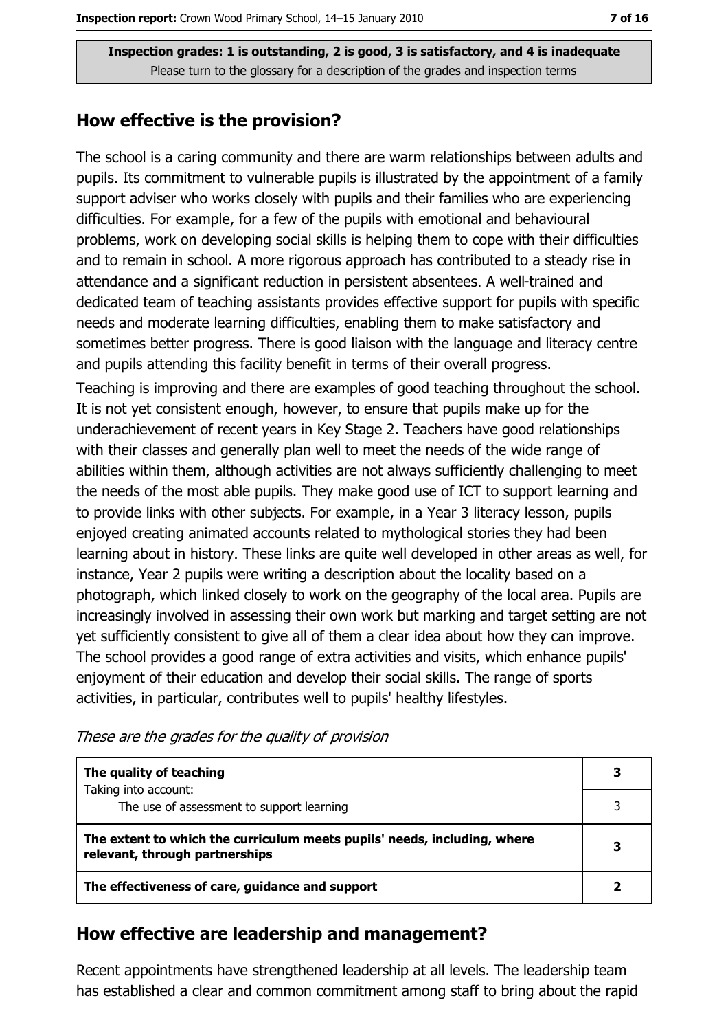## How effective is the provision?

The school is a caring community and there are warm relationships between adults and pupils. Its commitment to vulnerable pupils is illustrated by the appointment of a family support adviser who works closely with pupils and their families who are experiencing difficulties. For example, for a few of the pupils with emotional and behavioural problems, work on developing social skills is helping them to cope with their difficulties and to remain in school. A more rigorous approach has contributed to a steady rise in attendance and a significant reduction in persistent absentees. A well-trained and dedicated team of teaching assistants provides effective support for pupils with specific needs and moderate learning difficulties, enabling them to make satisfactory and sometimes better progress. There is good liaison with the language and literacy centre and pupils attending this facility benefit in terms of their overall progress.

Teaching is improving and there are examples of good teaching throughout the school. It is not yet consistent enough, however, to ensure that pupils make up for the underachievement of recent years in Key Stage 2. Teachers have good relationships with their classes and generally plan well to meet the needs of the wide range of abilities within them, although activities are not always sufficiently challenging to meet the needs of the most able pupils. They make good use of ICT to support learning and to provide links with other subjects. For example, in a Year 3 literacy lesson, pupils enjoyed creating animated accounts related to mythological stories they had been learning about in history. These links are quite well developed in other areas as well, for instance, Year 2 pupils were writing a description about the locality based on a photograph, which linked closely to work on the geography of the local area. Pupils are increasingly involved in assessing their own work but marking and target setting are not yet sufficiently consistent to give all of them a clear idea about how they can improve. The school provides a good range of extra activities and visits, which enhance pupils' enjoyment of their education and develop their social skills. The range of sports activities, in particular, contributes well to pupils' healthy lifestyles.

| These are the grades for the quality of provision |  |  |  |
|---------------------------------------------------|--|--|--|
|---------------------------------------------------|--|--|--|

| The quality of teaching                                                                                    |  |
|------------------------------------------------------------------------------------------------------------|--|
| Taking into account:<br>The use of assessment to support learning                                          |  |
| The extent to which the curriculum meets pupils' needs, including, where<br>relevant, through partnerships |  |
| The effectiveness of care, guidance and support                                                            |  |

## How effective are leadership and management?

Recent appointments have strengthened leadership at all levels. The leadership team has established a clear and common commitment among staff to bring about the rapid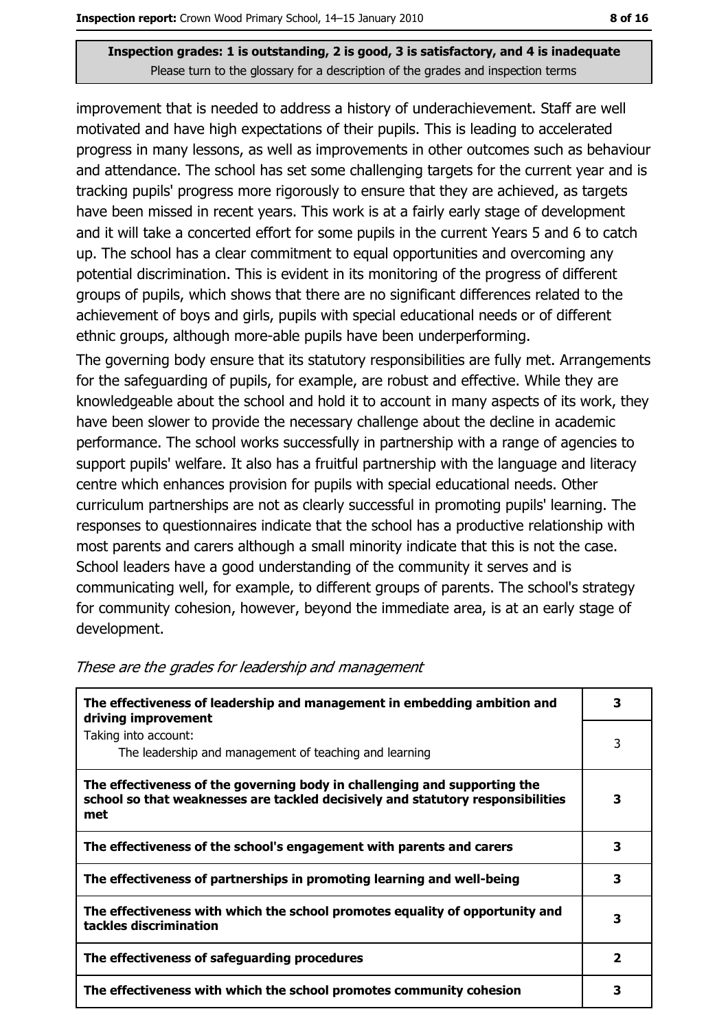improvement that is needed to address a history of underachievement. Staff are well motivated and have high expectations of their pupils. This is leading to accelerated progress in many lessons, as well as improvements in other outcomes such as behaviour and attendance. The school has set some challenging targets for the current year and is tracking pupils' progress more rigorously to ensure that they are achieved, as targets have been missed in recent years. This work is at a fairly early stage of development and it will take a concerted effort for some pupils in the current Years 5 and 6 to catch up. The school has a clear commitment to equal opportunities and overcoming any potential discrimination. This is evident in its monitoring of the progress of different groups of pupils, which shows that there are no significant differences related to the achievement of boys and girls, pupils with special educational needs or of different ethnic groups, although more-able pupils have been underperforming.

The governing body ensure that its statutory responsibilities are fully met. Arrangements for the safeguarding of pupils, for example, are robust and effective. While they are knowledgeable about the school and hold it to account in many aspects of its work, they have been slower to provide the necessary challenge about the decline in academic performance. The school works successfully in partnership with a range of agencies to support pupils' welfare. It also has a fruitful partnership with the language and literacy centre which enhances provision for pupils with special educational needs. Other curriculum partnerships are not as clearly successful in promoting pupils' learning. The responses to questionnaires indicate that the school has a productive relationship with most parents and carers although a small minority indicate that this is not the case. School leaders have a good understanding of the community it serves and is communicating well, for example, to different groups of parents. The school's strategy for community cohesion, however, beyond the immediate area, is at an early stage of development.

| The effectiveness of leadership and management in embedding ambition and<br>driving improvement                                                                     |   |  |
|---------------------------------------------------------------------------------------------------------------------------------------------------------------------|---|--|
| Taking into account:<br>The leadership and management of teaching and learning                                                                                      | 3 |  |
| The effectiveness of the governing body in challenging and supporting the<br>school so that weaknesses are tackled decisively and statutory responsibilities<br>met | 3 |  |
| The effectiveness of the school's engagement with parents and carers                                                                                                | з |  |
| The effectiveness of partnerships in promoting learning and well-being                                                                                              | 3 |  |
| The effectiveness with which the school promotes equality of opportunity and<br>tackles discrimination                                                              | з |  |
| The effectiveness of safeguarding procedures                                                                                                                        | 2 |  |
| The effectiveness with which the school promotes community cohesion                                                                                                 | з |  |

#### These are the grades for leadership and management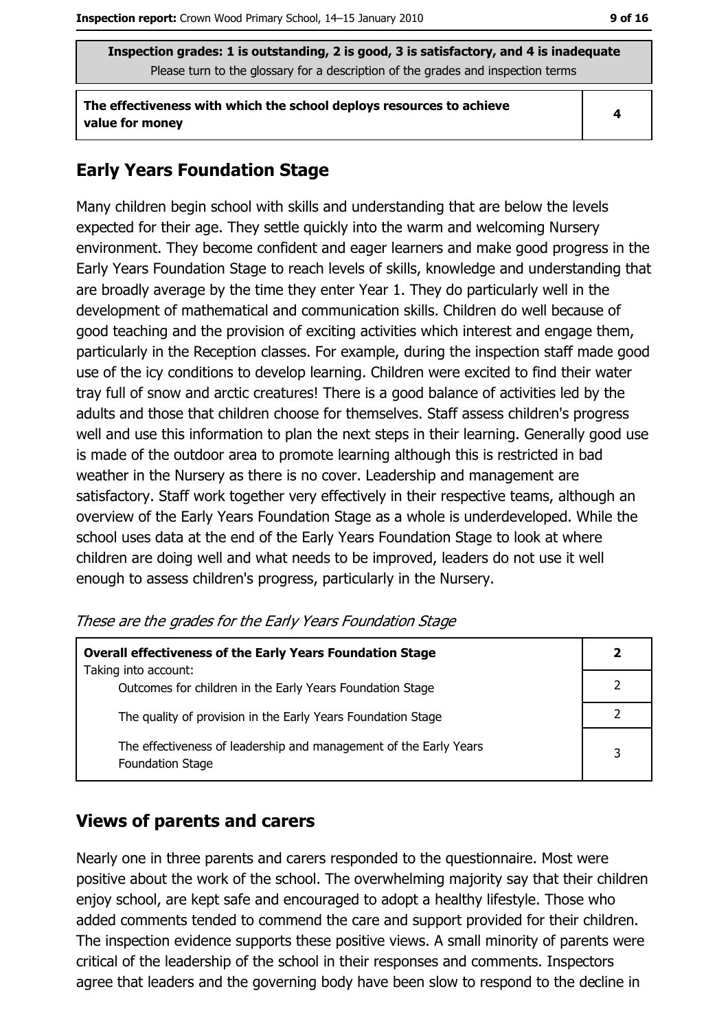The effectiveness with which the school deploys resources to achieve value for money

#### $\overline{\mathbf{4}}$

# **Early Years Foundation Stage**

Many children begin school with skills and understanding that are below the levels expected for their age. They settle quickly into the warm and welcoming Nursery environment. They become confident and eager learners and make good progress in the Early Years Foundation Stage to reach levels of skills, knowledge and understanding that are broadly average by the time they enter Year 1. They do particularly well in the development of mathematical and communication skills. Children do well because of good teaching and the provision of exciting activities which interest and engage them, particularly in the Reception classes. For example, during the inspection staff made good use of the icy conditions to develop learning. Children were excited to find their water tray full of snow and arctic creatures! There is a good balance of activities led by the adults and those that children choose for themselves. Staff assess children's progress well and use this information to plan the next steps in their learning. Generally good use is made of the outdoor area to promote learning although this is restricted in bad weather in the Nursery as there is no cover. Leadership and management are satisfactory. Staff work together very effectively in their respective teams, although an overview of the Early Years Foundation Stage as a whole is underdeveloped. While the school uses data at the end of the Early Years Foundation Stage to look at where children are doing well and what needs to be improved, leaders do not use it well enough to assess children's progress, particularly in the Nursery.

| These are the grades for the Early Years Foundation Stage |  |  |
|-----------------------------------------------------------|--|--|
|-----------------------------------------------------------|--|--|

| <b>Overall effectiveness of the Early Years Foundation Stage</b>                             | 2 |
|----------------------------------------------------------------------------------------------|---|
| Taking into account:<br>Outcomes for children in the Early Years Foundation Stage            |   |
| The quality of provision in the Early Years Foundation Stage                                 |   |
| The effectiveness of leadership and management of the Early Years<br><b>Foundation Stage</b> | 3 |

## **Views of parents and carers**

Nearly one in three parents and carers responded to the questionnaire. Most were positive about the work of the school. The overwhelming majority say that their children enjoy school, are kept safe and encouraged to adopt a healthy lifestyle. Those who added comments tended to commend the care and support provided for their children. The inspection evidence supports these positive views. A small minority of parents were critical of the leadership of the school in their responses and comments. Inspectors agree that leaders and the governing body have been slow to respond to the decline in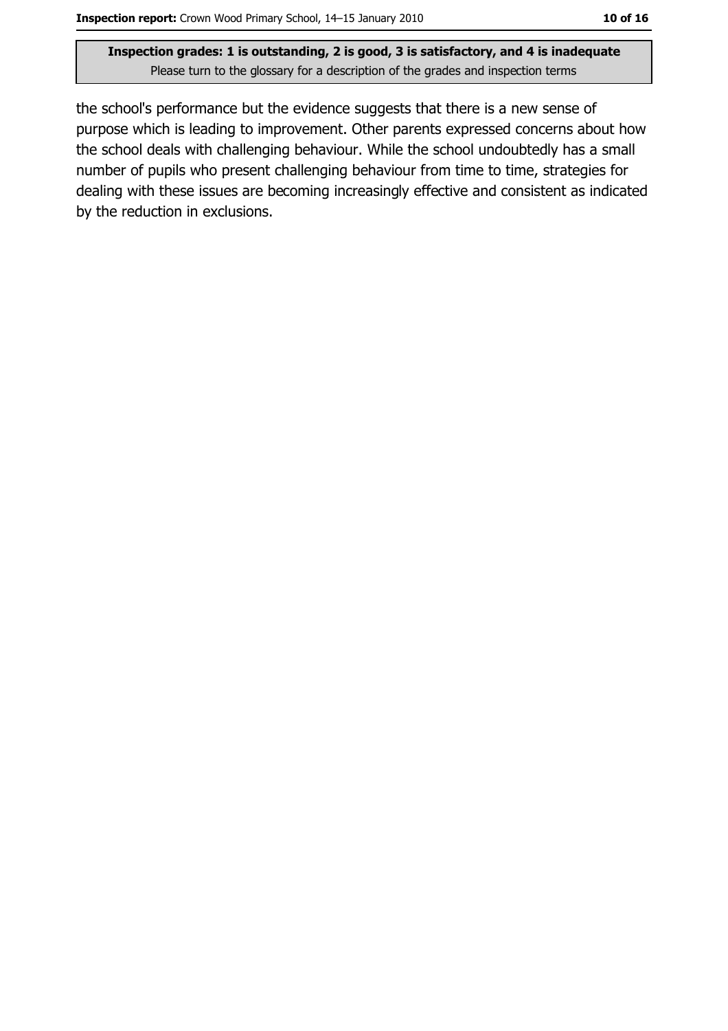the school's performance but the evidence suggests that there is a new sense of purpose which is leading to improvement. Other parents expressed concerns about how the school deals with challenging behaviour. While the school undoubtedly has a small number of pupils who present challenging behaviour from time to time, strategies for dealing with these issues are becoming increasingly effective and consistent as indicated by the reduction in exclusions.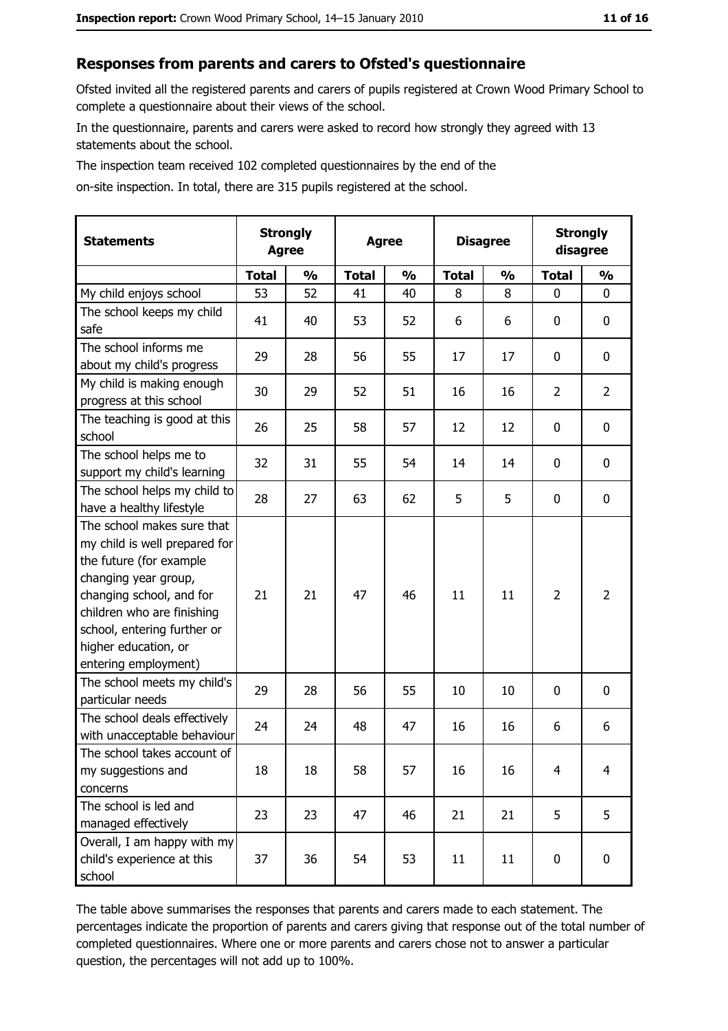#### Responses from parents and carers to Ofsted's questionnaire

Ofsted invited all the registered parents and carers of pupils registered at Crown Wood Primary School to complete a questionnaire about their views of the school.

In the questionnaire, parents and carers were asked to record how strongly they agreed with 13 statements about the school.

The inspection team received 102 completed questionnaires by the end of the

on-site inspection. In total, there are 315 pupils registered at the school.

| <b>Statements</b>                                                                                                                                                                                                                                       |              | <b>Strongly</b><br><b>Agree</b><br><b>Agree</b> |              | <b>Disagree</b> |              | <b>Strongly</b><br>disagree |                |                |
|---------------------------------------------------------------------------------------------------------------------------------------------------------------------------------------------------------------------------------------------------------|--------------|-------------------------------------------------|--------------|-----------------|--------------|-----------------------------|----------------|----------------|
|                                                                                                                                                                                                                                                         | <b>Total</b> | $\frac{1}{2}$                                   | <b>Total</b> | $\frac{0}{0}$   | <b>Total</b> | $\frac{1}{2}$               | <b>Total</b>   | $\frac{1}{2}$  |
| My child enjoys school                                                                                                                                                                                                                                  | 53           | 52                                              | 41           | 40              | 8            | 8                           | 0              | $\mathbf{0}$   |
| The school keeps my child<br>safe                                                                                                                                                                                                                       | 41           | 40                                              | 53           | 52              | 6            | 6                           | 0              | 0              |
| The school informs me<br>about my child's progress                                                                                                                                                                                                      | 29           | 28                                              | 56           | 55              | 17           | 17                          | 0              | $\mathbf 0$    |
| My child is making enough<br>progress at this school                                                                                                                                                                                                    | 30           | 29                                              | 52           | 51              | 16           | 16                          | 2              | $\overline{2}$ |
| The teaching is good at this<br>school                                                                                                                                                                                                                  | 26           | 25                                              | 58           | 57              | 12           | 12                          | 0              | $\mathbf 0$    |
| The school helps me to<br>support my child's learning                                                                                                                                                                                                   | 32           | 31                                              | 55           | 54              | 14           | 14                          | 0              | $\mathbf 0$    |
| The school helps my child to<br>have a healthy lifestyle                                                                                                                                                                                                | 28           | 27                                              | 63           | 62              | 5            | 5                           | 0              | 0              |
| The school makes sure that<br>my child is well prepared for<br>the future (for example<br>changing year group,<br>changing school, and for<br>children who are finishing<br>school, entering further or<br>higher education, or<br>entering employment) | 21           | 21                                              | 47           | 46              | 11           | 11                          | $\overline{2}$ | $\overline{2}$ |
| The school meets my child's<br>particular needs                                                                                                                                                                                                         | 29           | 28                                              | 56           | 55              | 10           | 10                          | 0              | $\mathbf 0$    |
| The school deals effectively<br>with unacceptable behaviour                                                                                                                                                                                             | 24           | 24                                              | 48           | 47              | 16           | 16                          | 6              | 6              |
| The school takes account of<br>my suggestions and<br>concerns                                                                                                                                                                                           | 18           | 18                                              | 58           | 57              | 16           | 16                          | $\overline{4}$ | 4              |
| The school is led and<br>managed effectively                                                                                                                                                                                                            | 23           | 23                                              | 47           | 46              | 21           | 21                          | 5              | 5              |
| Overall, I am happy with my<br>child's experience at this<br>school                                                                                                                                                                                     | 37           | 36                                              | 54           | 53              | 11           | 11                          | 0              | $\mathbf 0$    |

The table above summarises the responses that parents and carers made to each statement. The percentages indicate the proportion of parents and carers giving that response out of the total number of completed questionnaires. Where one or more parents and carers chose not to answer a particular question, the percentages will not add up to 100%.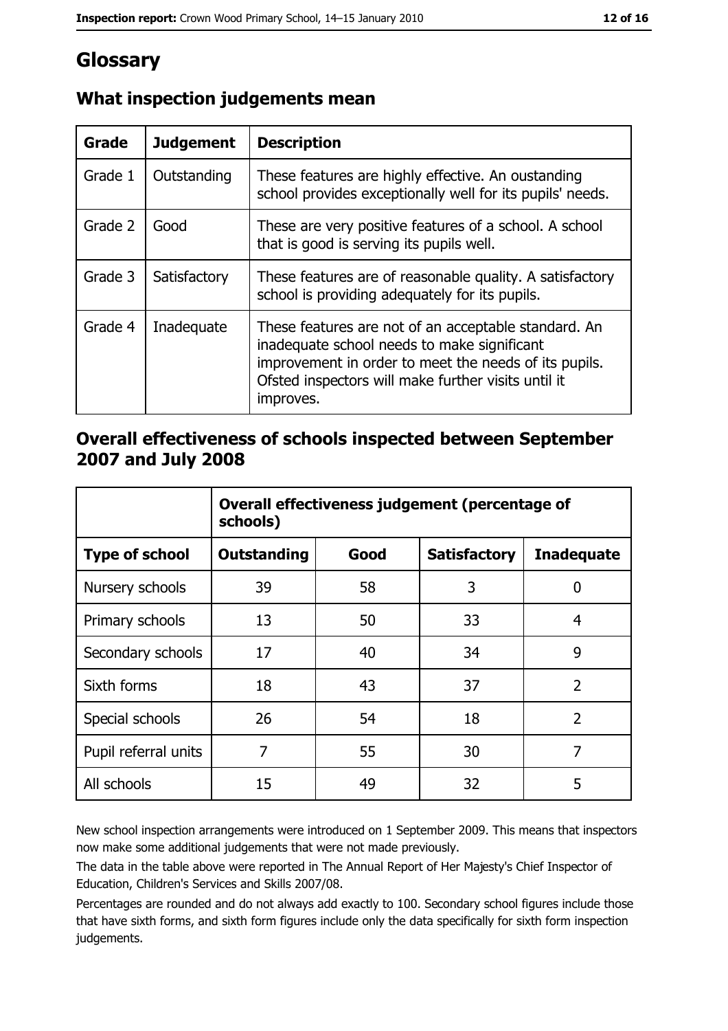# Glossary

| Grade   | <b>Judgement</b> | <b>Description</b>                                                                                                                                                                                                               |
|---------|------------------|----------------------------------------------------------------------------------------------------------------------------------------------------------------------------------------------------------------------------------|
| Grade 1 | Outstanding      | These features are highly effective. An oustanding<br>school provides exceptionally well for its pupils' needs.                                                                                                                  |
| Grade 2 | Good             | These are very positive features of a school. A school<br>that is good is serving its pupils well.                                                                                                                               |
| Grade 3 | Satisfactory     | These features are of reasonable quality. A satisfactory<br>school is providing adequately for its pupils.                                                                                                                       |
| Grade 4 | Inadequate       | These features are not of an acceptable standard. An<br>inadequate school needs to make significant<br>improvement in order to meet the needs of its pupils.<br>Ofsted inspectors will make further visits until it<br>improves. |

# What inspection judgements mean

# Overall effectiveness of schools inspected between September 2007 and July 2008

|                       | Overall effectiveness judgement (percentage of<br>schools) |      |                     |                   |
|-----------------------|------------------------------------------------------------|------|---------------------|-------------------|
| <b>Type of school</b> | Outstanding                                                | Good | <b>Satisfactory</b> | <b>Inadequate</b> |
| Nursery schools       | 39                                                         | 58   | 3                   | 0                 |
| Primary schools       | 13                                                         | 50   | 33                  | 4                 |
| Secondary schools     | 17                                                         | 40   | 34                  | 9                 |
| Sixth forms           | 18                                                         | 43   | 37                  | $\overline{2}$    |
| Special schools       | 26                                                         | 54   | 18                  | $\overline{2}$    |
| Pupil referral units  | 7                                                          | 55   | 30                  | 7                 |
| All schools           | 15                                                         | 49   | 32                  | 5                 |

New school inspection arrangements were introduced on 1 September 2009. This means that inspectors now make some additional judgements that were not made previously.

The data in the table above were reported in The Annual Report of Her Majesty's Chief Inspector of Education, Children's Services and Skills 2007/08.

Percentages are rounded and do not always add exactly to 100. Secondary school figures include those that have sixth forms, and sixth form figures include only the data specifically for sixth form inspection judgements.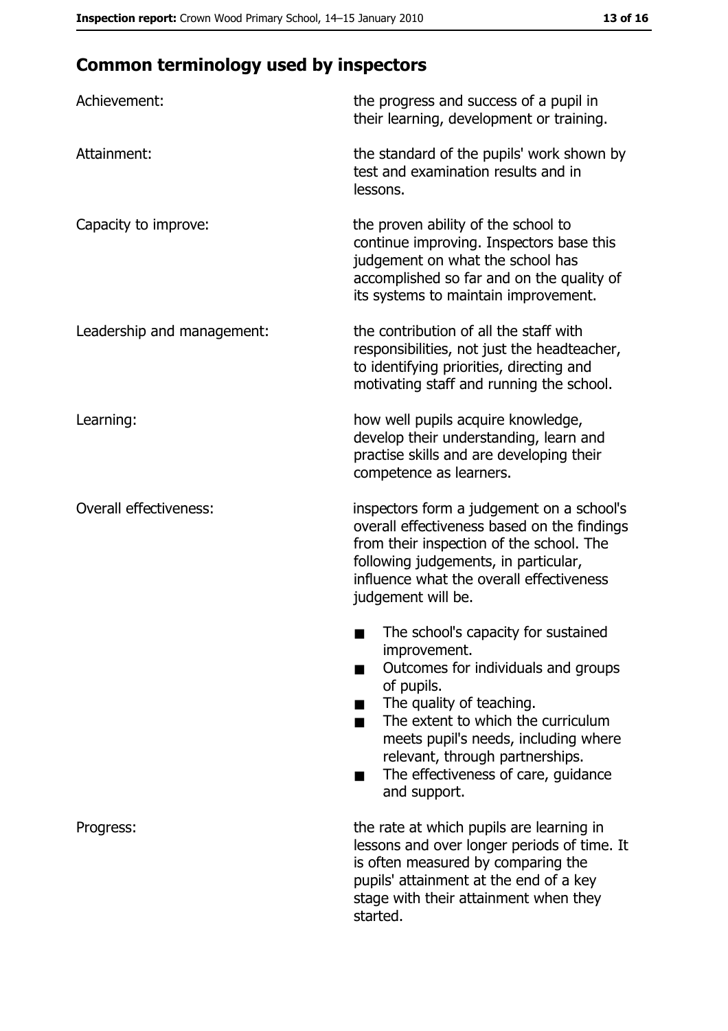# **Common terminology used by inspectors**

| Achievement:                  | the progress and success of a pupil in<br>their learning, development or training.                                                                                                                                                                                                                           |  |
|-------------------------------|--------------------------------------------------------------------------------------------------------------------------------------------------------------------------------------------------------------------------------------------------------------------------------------------------------------|--|
| Attainment:                   | the standard of the pupils' work shown by<br>test and examination results and in<br>lessons.                                                                                                                                                                                                                 |  |
| Capacity to improve:          | the proven ability of the school to<br>continue improving. Inspectors base this<br>judgement on what the school has<br>accomplished so far and on the quality of<br>its systems to maintain improvement.                                                                                                     |  |
| Leadership and management:    | the contribution of all the staff with<br>responsibilities, not just the headteacher,<br>to identifying priorities, directing and<br>motivating staff and running the school.                                                                                                                                |  |
| Learning:                     | how well pupils acquire knowledge,<br>develop their understanding, learn and<br>practise skills and are developing their<br>competence as learners.                                                                                                                                                          |  |
| <b>Overall effectiveness:</b> | inspectors form a judgement on a school's<br>overall effectiveness based on the findings<br>from their inspection of the school. The<br>following judgements, in particular,<br>influence what the overall effectiveness<br>judgement will be.                                                               |  |
|                               | The school's capacity for sustained<br>improvement.<br>Outcomes for individuals and groups<br>of pupils.<br>The quality of teaching.<br>The extent to which the curriculum<br>meets pupil's needs, including where<br>relevant, through partnerships.<br>The effectiveness of care, guidance<br>and support. |  |
| Progress:                     | the rate at which pupils are learning in<br>lessons and over longer periods of time. It<br>is often measured by comparing the<br>pupils' attainment at the end of a key<br>stage with their attainment when they<br>started.                                                                                 |  |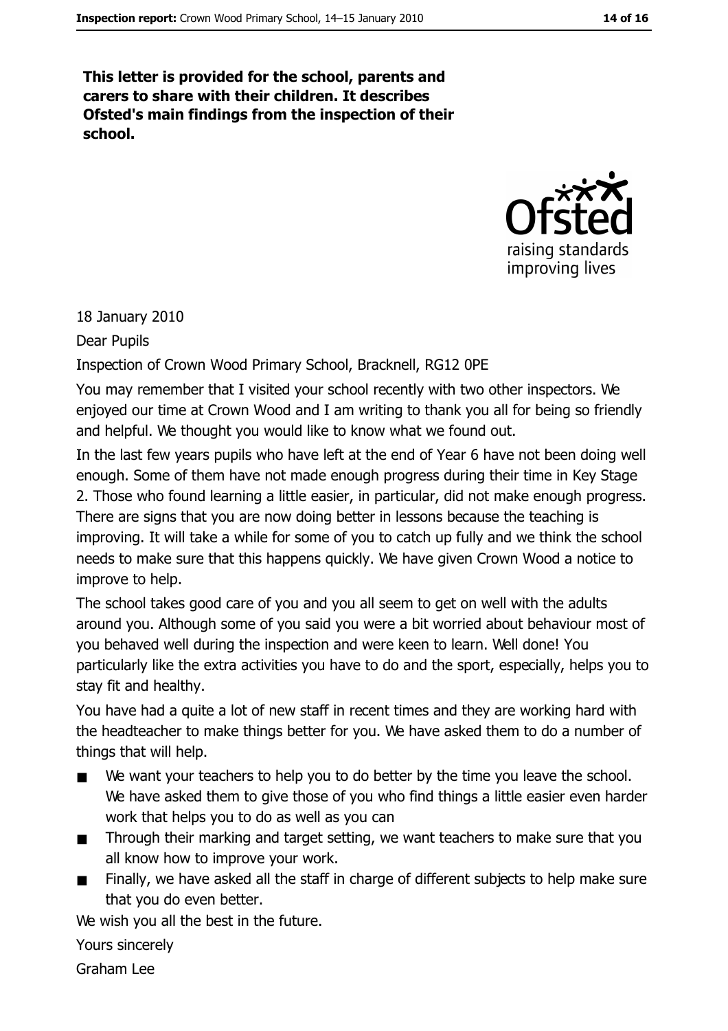This letter is provided for the school, parents and carers to share with their children. It describes Ofsted's main findings from the inspection of their school.



18 January 2010

Dear Pupils

Inspection of Crown Wood Primary School, Bracknell, RG12 OPE

You may remember that I visited your school recently with two other inspectors. We enjoyed our time at Crown Wood and I am writing to thank you all for being so friendly and helpful. We thought you would like to know what we found out.

In the last few years pupils who have left at the end of Year 6 have not been doing well enough. Some of them have not made enough progress during their time in Key Stage 2. Those who found learning a little easier, in particular, did not make enough progress. There are signs that you are now doing better in lessons because the teaching is improving. It will take a while for some of you to catch up fully and we think the school needs to make sure that this happens quickly. We have given Crown Wood a notice to improve to help.

The school takes good care of you and you all seem to get on well with the adults around you. Although some of you said you were a bit worried about behaviour most of you behaved well during the inspection and were keen to learn. Well done! You particularly like the extra activities you have to do and the sport, especially, helps you to stay fit and healthy.

You have had a quite a lot of new staff in recent times and they are working hard with the headteacher to make things better for you. We have asked them to do a number of things that will help.

- We want your teachers to help you to do better by the time you leave the school.  $\blacksquare$ We have asked them to give those of you who find things a little easier even harder work that helps you to do as well as you can
- Through their marking and target setting, we want teachers to make sure that you  $\blacksquare$ all know how to improve your work.
- Finally, we have asked all the staff in charge of different subjects to help make sure  $\blacksquare$ that you do even better.

We wish you all the best in the future.

Yours sincerely

Graham Lee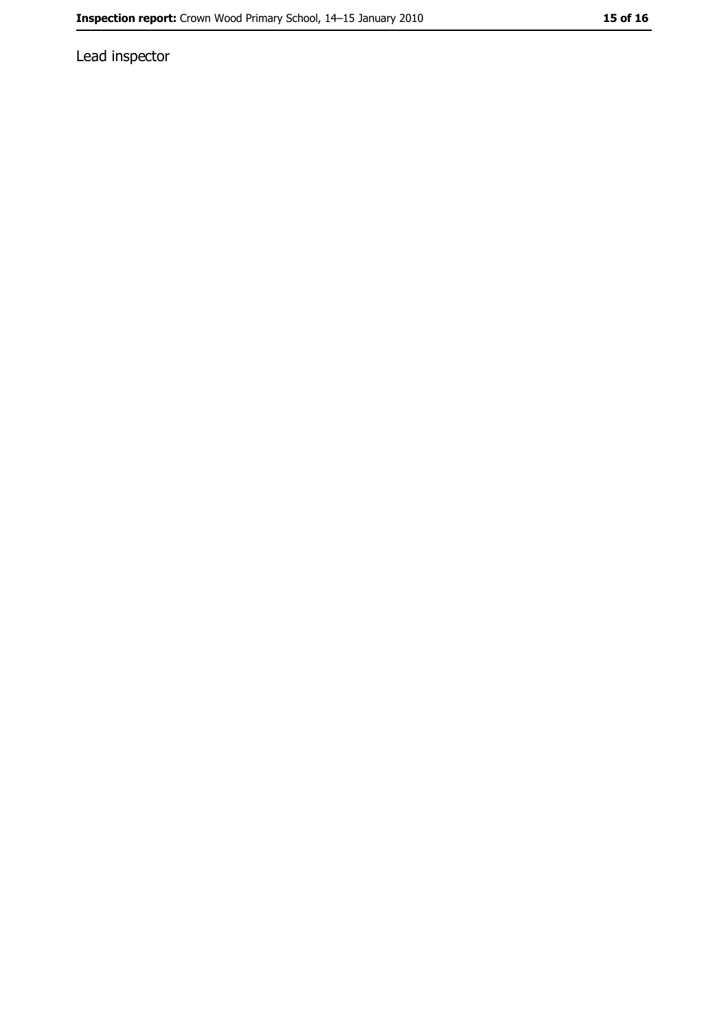Lead inspector